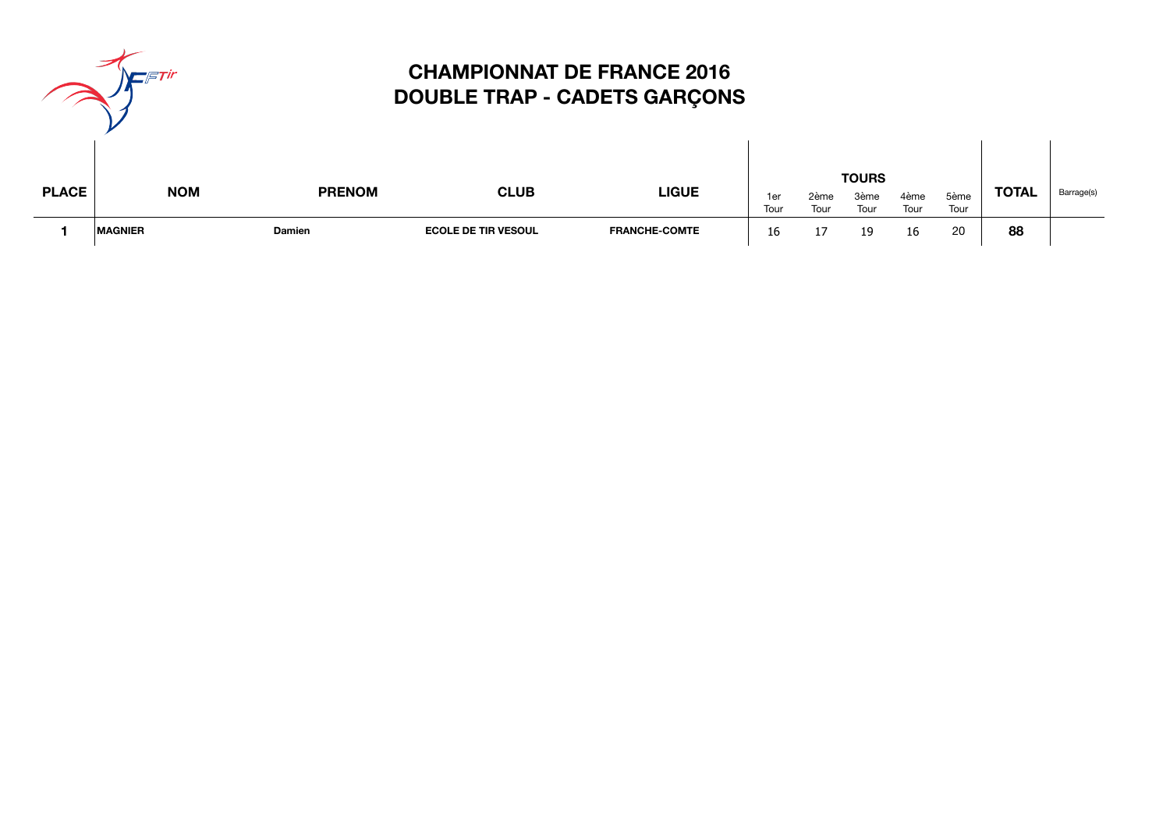|              | <b>- ETIR</b>  |               |                            | <b>CHAMPIONNAT DE FRANCE 2016</b><br><b>DOUBLE TRAP - CADETS GARÇONS</b> |             |              |                              |              |              |              |            |
|--------------|----------------|---------------|----------------------------|--------------------------------------------------------------------------|-------------|--------------|------------------------------|--------------|--------------|--------------|------------|
| <b>PLACE</b> | <b>NOM</b>     | <b>PRENOM</b> | <b>CLUB</b>                | <b>LIGUE</b>                                                             | 1er<br>Tour | 2ème<br>Tour | <b>TOURS</b><br>3ème<br>Tour | 4ème<br>Tour | 5ème<br>Tour | <b>TOTAL</b> | Barrage(s) |
|              | <b>MAGNIER</b> | <b>Damien</b> | <b>ECOLE DE TIR VESOUL</b> | <b>FRANCHE-COMTE</b>                                                     | 16          |              | 19                           | 16           | 20           | 88           |            |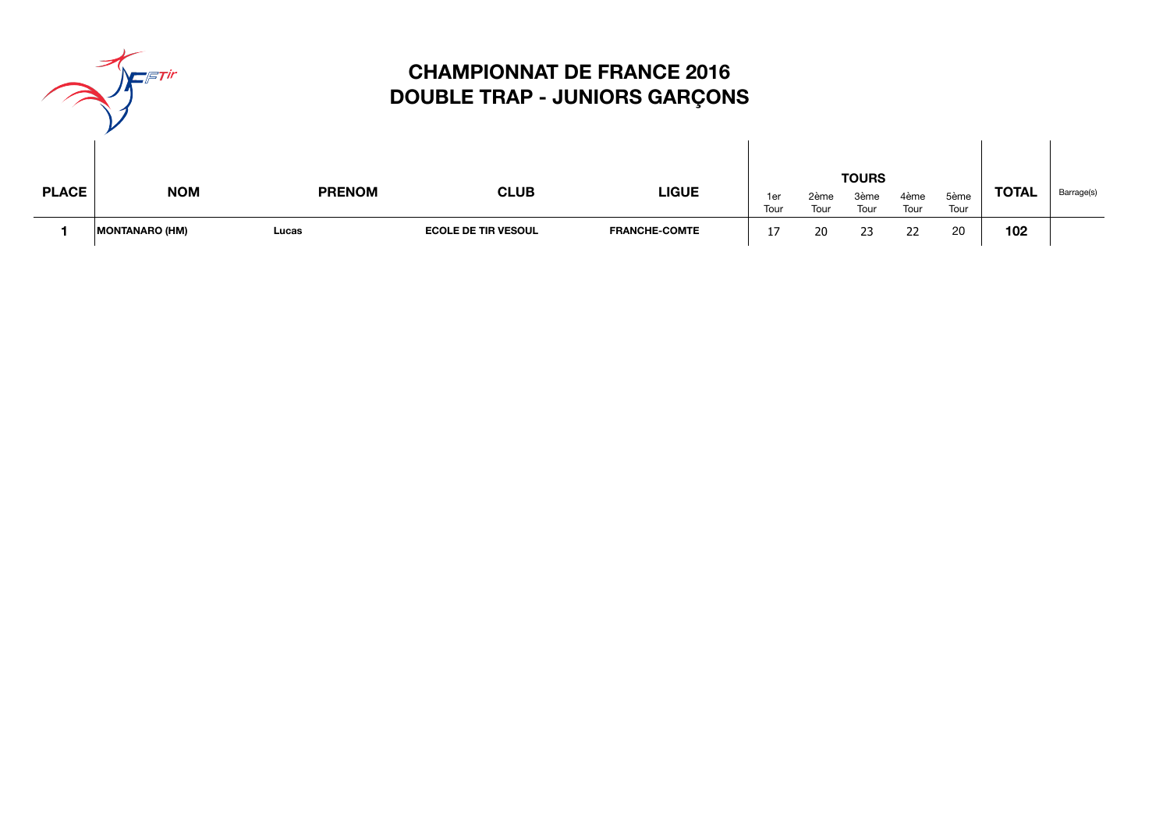|              | Tir<br>$\mathcal{F}$ |
|--------------|----------------------|
| <b>PLACE</b> | <b>NOM</b>           |
|              |                      |

# **CHAMPIONNAT DE FRANCE 2016 DOUBLE TRAP - JUNIORS GARÇONS**

| <b>PLACE</b> |                       |               |                            | <b>LIGUE</b>         |                         | <b>TOURS</b> |              |              |              |              |            |
|--------------|-----------------------|---------------|----------------------------|----------------------|-------------------------|--------------|--------------|--------------|--------------|--------------|------------|
|              | <b>NOM</b>            | <b>PRENOM</b> | <b>CLUB</b>                |                      | <sub>1</sub> er<br>Tour | 2ème<br>Tour | 3ème<br>Tour | 4ème<br>Tour | 5ème<br>Tour | <b>TOTAL</b> | Barrage(s) |
|              | <b>MONTANARO (HM)</b> | Lucas         | <b>ECOLE DE TIR VESOUL</b> | <b>FRANCHE-COMTE</b> |                         | 20           | 23           | 22           | 20           | 102          |            |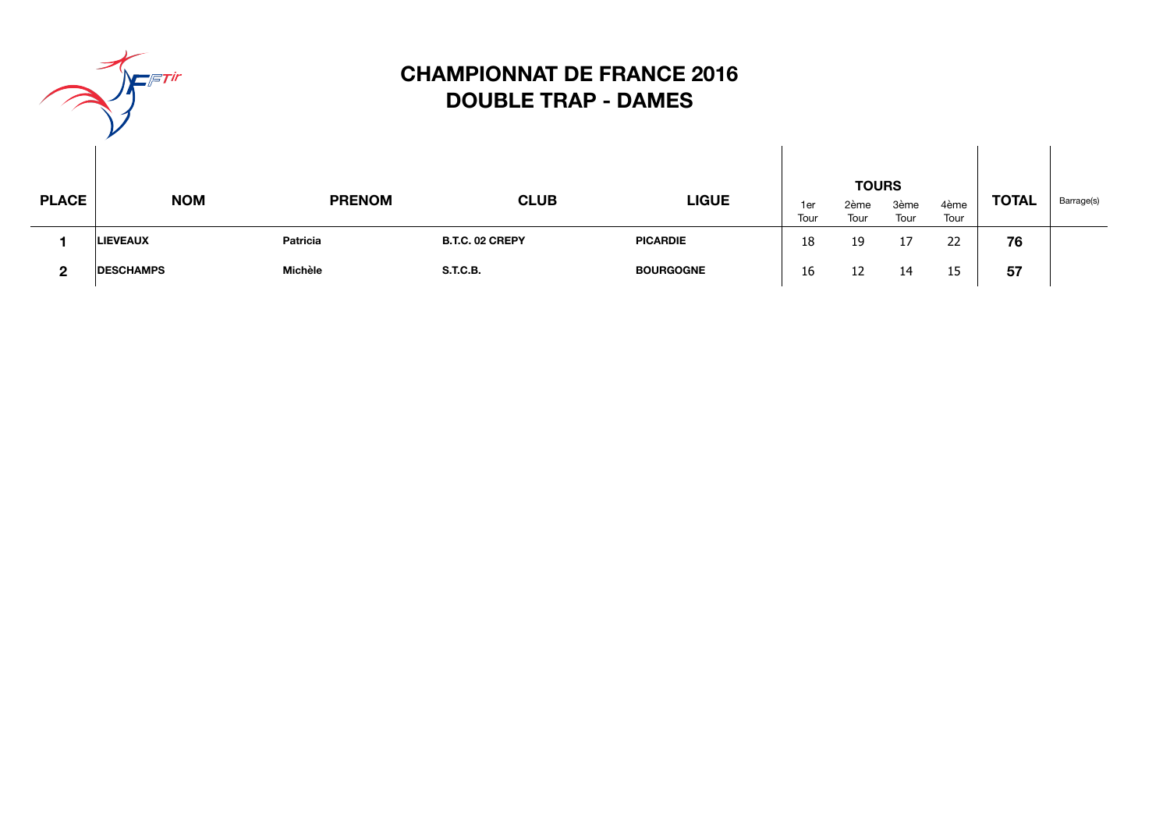

# **CHAMPIONNAT DE FRANCE 2016 DOUBLE TRAP - DAMES**

| <b>PLACE</b> | <b>NOM</b>       | <b>PRENOM</b> | <b>CLUB</b>     | <b>LIGUE</b>     | 1er<br>Tour | <b>TOURS</b><br>2ème<br>Tour | 3ème<br>Tour | 4ème<br>Tour | <b>TOTAL</b> | Barrage(s) |
|--------------|------------------|---------------|-----------------|------------------|-------------|------------------------------|--------------|--------------|--------------|------------|
|              | <b>LIEVEAUX</b>  | Patricia      | B.T.C. 02 CREPY | <b>PICARDIE</b>  | 18          | 19                           | 17           | 22           | 76           |            |
| 2            | <b>DESCHAMPS</b> | Michèle       | <b>S.T.C.B.</b> | <b>BOURGOGNE</b> | 16          | 12                           | 14           | 15           | 57           |            |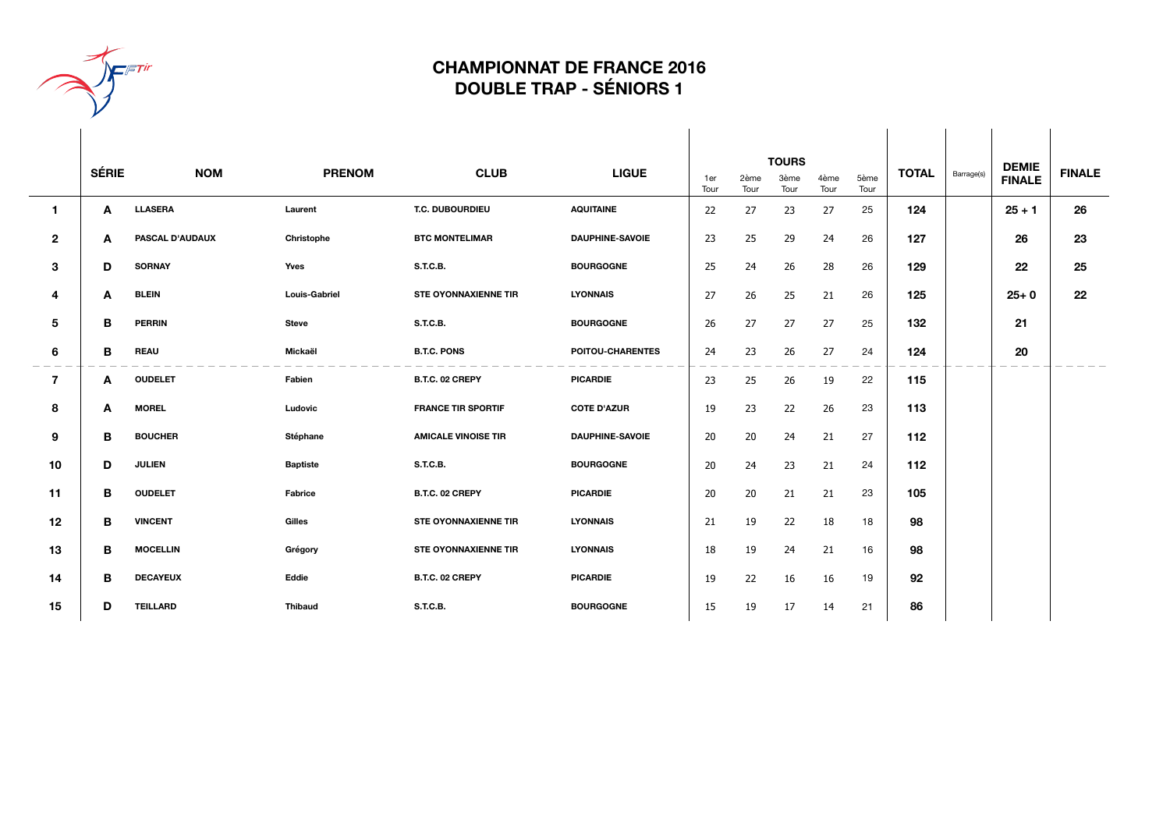

#### **CHAMPIONNAT DE FRANCE 2016 DOUBLE TRAP - SÉNIORS 1**

|                | <b>SÉRIE</b> | <b>NOM</b>      | <b>PRENOM</b>        | <b>CLUB</b>                 | <b>LIGUE</b>           | <b>TOURS</b> |              |              |              |              | <b>TOTAL</b> | Barrage(s) | <b>DEMIE</b>  | <b>FINALE</b> |
|----------------|--------------|-----------------|----------------------|-----------------------------|------------------------|--------------|--------------|--------------|--------------|--------------|--------------|------------|---------------|---------------|
|                |              |                 |                      |                             |                        | 1er<br>Tour  | 2ème<br>Tour | 3ème<br>Tour | 4ème<br>Tour | 5ème<br>Tour |              |            | <b>FINALE</b> |               |
| 1              | A            | <b>LLASERA</b>  | Laurent              | T.C. DUBOURDIEU             | <b>AQUITAINE</b>       | 22           | 27           | 23           | 27           | 25           | 124          |            | $25 + 1$      | 26            |
| $\mathbf{2}$   | A            | PASCAL D'AUDAUX | Christophe           | <b>BTC MONTELIMAR</b>       | <b>DAUPHINE-SAVOIE</b> | 23           | 25           | 29           | 24           | 26           | 127          |            | 26            | 23            |
| 3              | D            | <b>SORNAY</b>   | Yves                 | <b>S.T.C.B.</b>             | <b>BOURGOGNE</b>       | 25           | 24           | 26           | 28           | 26           | 129          |            | 22            | 25            |
| 4              | A            | <b>BLEIN</b>    | <b>Louis-Gabriel</b> | <b>STE OYONNAXIENNE TIR</b> | <b>LYONNAIS</b>        | 27           | 26           | 25           | 21           | 26           | 125          |            | $25 + 0$      | 22            |
| 5              | в            | <b>PERRIN</b>   | <b>Steve</b>         | <b>S.T.C.B.</b>             | <b>BOURGOGNE</b>       | 26           | 27           | 27           | 27           | 25           | 132          |            | 21            |               |
| 6              | в            | <b>REAU</b>     | Mickaël              | <b>B.T.C. PONS</b>          | POITOU-CHARENTES       | 24           | 23           | 26           | 27           | 24           | 124          |            | 20            |               |
| $\overline{7}$ | A            | <b>OUDELET</b>  | Fabien               | B.T.C. 02 CREPY             | <b>PICARDIE</b>        | 23           | 25           | 26           | 19           | 22           | 115          |            |               |               |
| 8              | A            | <b>MOREL</b>    | Ludovic              | <b>FRANCE TIR SPORTIF</b>   | <b>COTE D'AZUR</b>     | 19           | 23           | 22           | 26           | 23           | 113          |            |               |               |
| 9              | в            | <b>BOUCHER</b>  | Stéphane             | <b>AMICALE VINOISE TIR</b>  | <b>DAUPHINE-SAVOIE</b> | 20           | 20           | 24           | 21           | 27           | 112          |            |               |               |
| 10             | D            | <b>JULIEN</b>   | <b>Baptiste</b>      | <b>S.T.C.B.</b>             | <b>BOURGOGNE</b>       | 20           | 24           | 23           | 21           | 24           | 112          |            |               |               |
| 11             | в            | <b>OUDELET</b>  | <b>Fabrice</b>       | B.T.C. 02 CREPY             | <b>PICARDIE</b>        | 20           | 20           | 21           | 21           | 23           | 105          |            |               |               |
| 12             | в            | <b>VINCENT</b>  | Gilles               | <b>STE OYONNAXIENNE TIR</b> | <b>LYONNAIS</b>        | 21           | 19           | 22           | 18           | 18           | 98           |            |               |               |
| 13             | в            | <b>MOCELLIN</b> | Grégory              | <b>STE OYONNAXIENNE TIR</b> | <b>LYONNAIS</b>        | 18           | 19           | 24           | 21           | 16           | 98           |            |               |               |
| 14             | в            | <b>DECAYEUX</b> | Eddie                | B.T.C. 02 CREPY             | <b>PICARDIE</b>        | 19           | 22           | 16           | 16           | 19           | 92           |            |               |               |
| 15             | D            | <b>TEILLARD</b> | Thibaud              | <b>S.T.C.B.</b>             | <b>BOURGOGNE</b>       | 15           | 19           | 17           | 14           | 21           | 86           |            |               |               |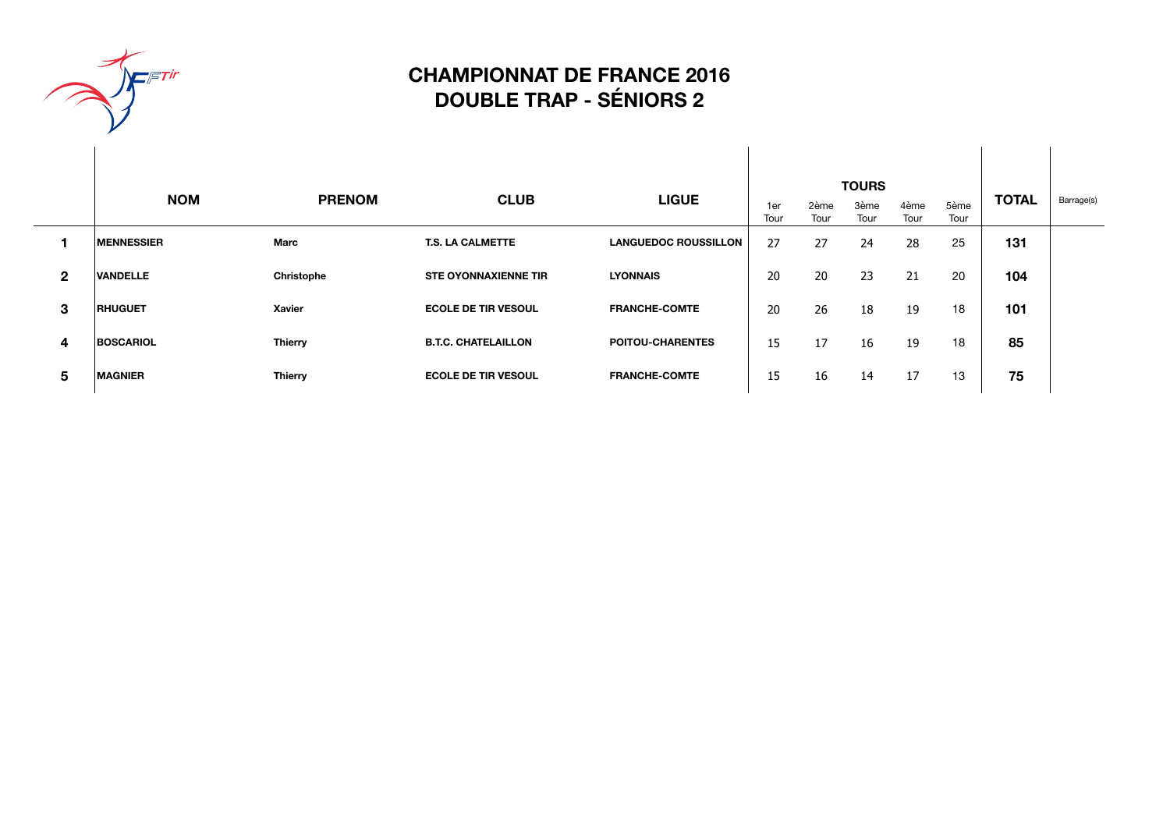

### **CHAMPIONNAT DE FRANCE 2016 DOUBLE TRAP - SÉNIORS 2**

|              | <b>NOM</b>        | <b>CLUB</b><br><b>LIGUE</b><br><b>PRENOM</b> |                             |                             | 1er  | <b>TOURS</b><br>2ème | 5ème | <b>TOTAL</b> | Barrage(s) |     |  |
|--------------|-------------------|----------------------------------------------|-----------------------------|-----------------------------|------|----------------------|------|--------------|------------|-----|--|
|              |                   |                                              |                             |                             | Tour | Tour                 | Tour | Tour         | Tour       |     |  |
|              | <b>MENNESSIER</b> | Marc                                         | <b>T.S. LA CALMETTE</b>     | <b>LANGUEDOC ROUSSILLON</b> | 27   | 27                   | 24   | 28           | 25         | 131 |  |
| $\mathbf{2}$ | <b>VANDELLE</b>   | Christophe                                   | <b>STE OYONNAXIENNE TIR</b> | <b>LYONNAIS</b>             | 20   | 20                   | 23   | 21           | 20         | 104 |  |
| 3            | <b>RHUGUET</b>    | Xavier                                       | <b>ECOLE DE TIR VESOUL</b>  | <b>FRANCHE-COMTE</b>        | 20   | 26                   | 18   | 19           | 18         | 101 |  |
| 4            | <b>BOSCARIOL</b>  | <b>Thierry</b>                               | <b>B.T.C. CHATELAILLON</b>  | <b>POITOU-CHARENTES</b>     | 15   | 17                   | 16   | 19           | 18         | 85  |  |
| 5            | <b>MAGNIER</b>    | <b>Thierry</b>                               | <b>ECOLE DE TIR VESOUL</b>  | <b>FRANCHE-COMTE</b>        | 15   | 16                   | 14   | 17           | 13         | 75  |  |